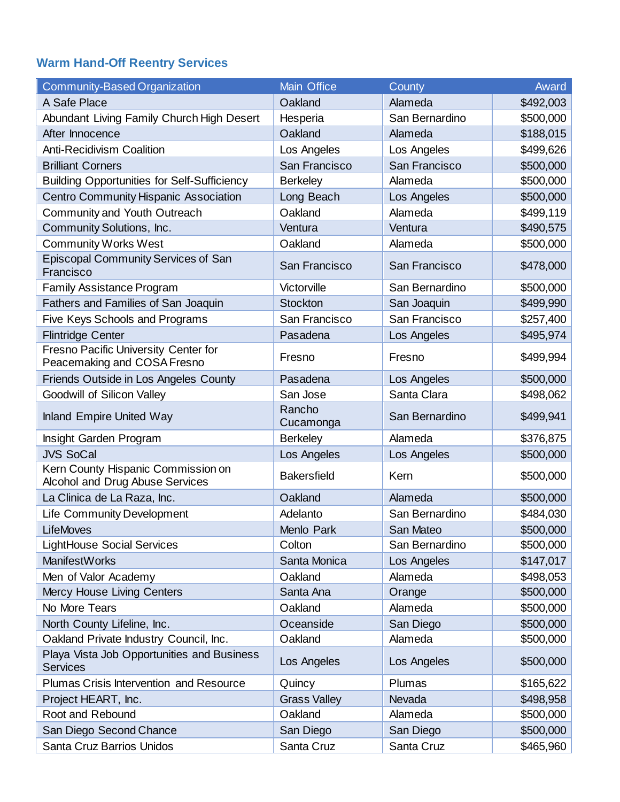## **Warm Hand-Off Reentry Services**

| <b>Community-Based Organization</b>                                   | <b>Main Office</b>  | County         | Award     |
|-----------------------------------------------------------------------|---------------------|----------------|-----------|
| A Safe Place                                                          | Oakland             | Alameda        | \$492,003 |
| Abundant Living Family Church High Desert                             | Hesperia            | San Bernardino | \$500,000 |
| After Innocence                                                       | Oakland             | Alameda        | \$188,015 |
| <b>Anti-Recidivism Coalition</b>                                      | Los Angeles         | Los Angeles    | \$499,626 |
| <b>Brilliant Corners</b>                                              | San Francisco       | San Francisco  | \$500,000 |
| <b>Building Opportunities for Self-Sufficiency</b>                    | <b>Berkeley</b>     | Alameda        | \$500,000 |
| <b>Centro Community Hispanic Association</b>                          | Long Beach          | Los Angeles    | \$500,000 |
| Community and Youth Outreach                                          | Oakland             | Alameda        | \$499,119 |
| Community Solutions, Inc.                                             | Ventura             | Ventura        | \$490,575 |
| <b>Community Works West</b>                                           | Oakland             | Alameda        | \$500,000 |
| Episcopal Community Services of San<br>Francisco                      | San Francisco       | San Francisco  | \$478,000 |
| <b>Family Assistance Program</b>                                      | Victorville         | San Bernardino | \$500,000 |
| Fathers and Families of San Joaquin                                   | <b>Stockton</b>     | San Joaquin    | \$499,990 |
| Five Keys Schools and Programs                                        | San Francisco       | San Francisco  | \$257,400 |
| <b>Flintridge Center</b>                                              | Pasadena            | Los Angeles    | \$495,974 |
| Fresno Pacific University Center for<br>Peacemaking and COSA Fresno   | Fresno              | Fresno         | \$499,994 |
| Friends Outside in Los Angeles County                                 | Pasadena            | Los Angeles    | \$500,000 |
| Goodwill of Silicon Valley                                            | San Jose            | Santa Clara    | \$498,062 |
| <b>Inland Empire United Way</b>                                       | Rancho<br>Cucamonga | San Bernardino | \$499,941 |
| Insight Garden Program                                                | <b>Berkeley</b>     | Alameda        | \$376,875 |
| <b>JVS SoCal</b>                                                      | Los Angeles         | Los Angeles    | \$500,000 |
| Kern County Hispanic Commission on<br>Alcohol and Drug Abuse Services | <b>Bakersfield</b>  | Kern           | \$500,000 |
| La Clinica de La Raza, Inc.                                           | Oakland             | Alameda        | \$500,000 |
| <b>Life Community Development</b>                                     | Adelanto            | San Bernardino | \$484,030 |
| <b>LifeMoves</b>                                                      | Menlo Park          | San Mateo      | \$500,000 |
| <b>LightHouse Social Services</b>                                     | Colton              | San Bernardino | \$500,000 |
| <b>ManifestWorks</b>                                                  | Santa Monica        | Los Angeles    | \$147,017 |
| Men of Valor Academy                                                  | Oakland             | Alameda        | \$498,053 |
| Mercy House Living Centers                                            | Santa Ana           | Orange         | \$500,000 |
| No More Tears                                                         | Oakland             | Alameda        | \$500,000 |
| North County Lifeline, Inc.                                           | Oceanside           | San Diego      | \$500,000 |
| Oakland Private Industry Council, Inc.                                | Oakland             | Alameda        | \$500,000 |
| Playa Vista Job Opportunities and Business<br><b>Services</b>         | Los Angeles         | Los Angeles    | \$500,000 |
| Plumas Crisis Intervention and Resource                               | Quincy              | Plumas         | \$165,622 |
| Project HEART, Inc.                                                   | <b>Grass Valley</b> | Nevada         | \$498,958 |
| Root and Rebound                                                      | Oakland             | Alameda        | \$500,000 |
| San Diego Second Chance                                               | San Diego           | San Diego      | \$500,000 |
| Santa Cruz Barrios Unidos                                             | Santa Cruz          | Santa Cruz     | \$465,960 |